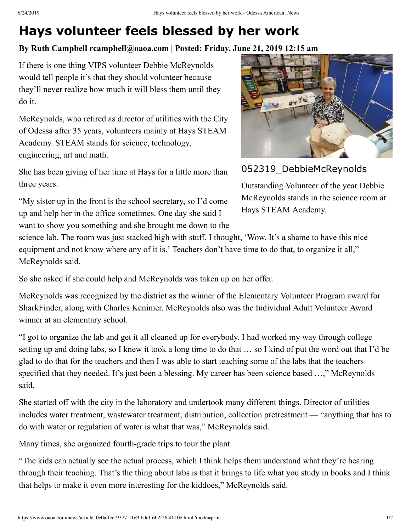## **Hays volunteer feels blessed by her work**

## **By Ruth Campbell rcampbell@oaoa.com | Posted: Friday, June 21, 2019 12:15 am**

If there is one thing VIPS volunteer Debbie McReynolds would tell people it's that they should volunteer because they'll never realize how much it will bless them until they do it.

McReynolds, who retired as director of utilities with the City of Odessa after 35 years, volunteers mainly at Hays STEAM Academy. STEAM stands for science, technology, engineering, art and math.

She has been giving of her time at Hays for a little more than three years.

"My sister up in the front is the school secretary, so I'd come up and help her in the office sometimes. One day she said I want to show you something and she brought me down to the



052319 DebbieMcReynolds

Outstanding Volunteer of the year Debbie McReynolds stands in the science room at Hays STEAM Academy.

science lab. The room was just stacked high with stuff. I thought, 'Wow. It's a shame to have this nice equipment and not know where any of it is.' Teachers don't have time to do that, to organize it all," McReynolds said.

So she asked if she could help and McReynolds was taken up on her offer.

McReynolds was recognized by the district as the winner of the Elementary Volunteer Program award for SharkFinder, along with Charles Kenimer. McReynolds also was the Individual Adult Volunteer Award winner at an elementary school.

"I got to organize the lab and get it all cleaned up for everybody. I had worked my way through college setting up and doing labs, so I knew it took a long time to do that … so I kind of put the word out that I'd be glad to do that for the teachers and then I was able to start teaching some of the labs that the teachers specified that they needed. It's just been a blessing. My career has been science based ...," McReynolds said.

She started off with the city in the laboratory and undertook many different things. Director of utilities includes water treatment, wastewater treatment, distribution, collection pretreatment — "anything that has to do with water or regulation of water is what that was," McReynolds said.

Many times, she organized fourth-grade trips to tour the plant.

"The kids can actually see the actual process, which I think helps them understand what they're hearing through their teaching. That's the thing about labs is that it brings to life what you study in books and I think that helps to make it even more interesting for the kiddoes," McReynolds said.